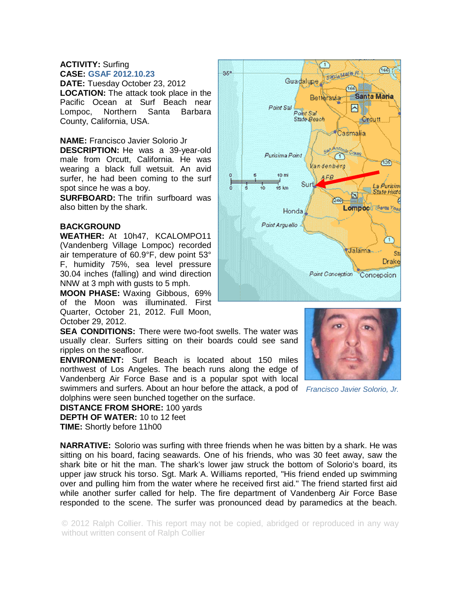## **ACTIVITY:** Surfing **CASE: GSAF 2012.10.23**

**DATE:** Tuesday October 23, 2012 **LOCATION:** The attack took place in the Pacific Ocean at Surf Beach near Lompoc, Northern Santa Barbara County, California, USA.

**NAME:** Francisco Javier Solorio Jr

**DESCRIPTION:** He was a 39-year-old male from Orcutt, California. He was wearing a black full wetsuit. An avid surfer, he had been coming to the surf spot since he was a boy.

**SURFBOARD:** The trifin surfboard was also bitten by the shark.

## **BACKGROUND**

**WEATHER:** At 10h47, KCALOMPO11 (Vandenberg Village Lompoc) recorded air temperature of 60.9°F, dew point 53° F, humidity 75%, sea level pressure 30.04 inches (falling) and wind direction NNW at 3 mph with gusts to 5 mph.

**MOON PHASE:** Waxing Gibbous, 69% of the Moon was illuminated. First Quarter, October 21, 2012. Full Moon, October 29, 2012.

**SEA CONDITIONS:** There were two-foot swells. The water was usually clear. Surfers sitting on their boards could see sand ripples on the seafloor.

**ENVIRONMENT:** Surf Beach is located about 150 miles northwest of Los Angeles. The beach runs along the edge of Vandenberg Air Force Base and is a popular spot with local swimmers and surfers. About an hour before the attack, a pod of *Francisco Javier Solorio, Jr.* 

dolphins were seen bunched together on the surface.

**DISTANCE FROM SHORE:** 100 yards

**DEPTH OF WATER:** 10 to 12 feet

**TIME:** Shortly before 11h00

**NARRATIVE:** Solorio was surfing with three friends when he was bitten by a shark. He was sitting on his board, facing seawards. One of his friends, who was 30 feet away, saw the shark bite or hit the man. The shark's lower jaw struck the bottom of Solorio's board, its upper jaw struck his torso. Sgt. Mark A. Williams reported, "His friend ended up swimming over and pulling him from the water where he received first aid." The friend started first aid while another surfer called for help. The fire department of Vandenberg Air Force Base responded to the scene. The surfer was pronounced dead by paramedics at the beach.

© 2012 Ralph Collier. This report may not be copied, abridged or reproduced in any way without written consent of Ralph Collier



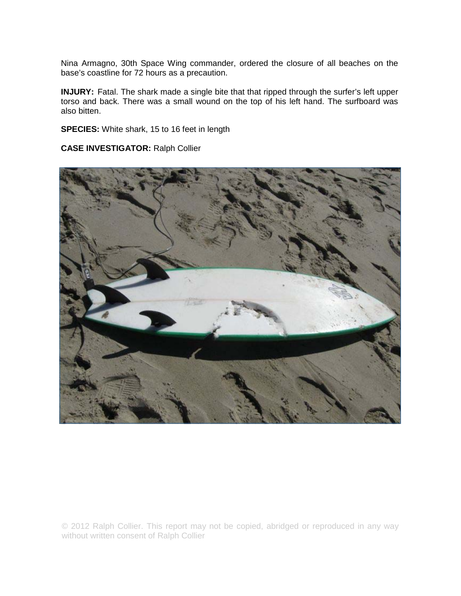Nina Armagno, 30th Space Wing commander, ordered the closure of all beaches on the base's coastline for 72 hours as a precaution.

**INJURY:** Fatal. The shark made a single bite that that ripped through the surfer's left upper torso and back. There was a small wound on the top of his left hand. The surfboard was also bitten.

**SPECIES:** White shark, 15 to 16 feet in length

**CASE INVESTIGATOR:** Ralph Collier



© 2012 Ralph Collier. This report may not be copied, abridged or reproduced in any way without written consent of Ralph Collier